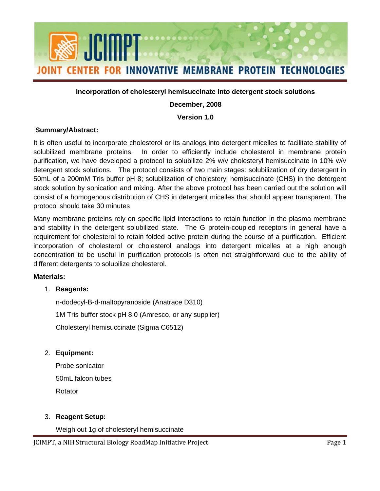

#### **Incorporation of cholesteryl hemisuccinate into detergent stock solutions**

### **December, 2008**

### **Version 1.0**

#### **Summary/Abstract:**

 solubilized membrane proteins. In order to efficiently include cholesterol in membrane protein detergent stock solutions. The protocol consists of two main stages: solubilization of dry detergent in consist of a homogenous distribution of CHS in detergent micelles that should appear transparent. The It is often useful to incorporate cholesterol or its analogs into detergent micelles to facilitate stability of purification, we have developed a protocol to solubilize 2% w/v cholesteryl hemisuccinate in 10% w/v 50mL of a 200mM Tris buffer pH 8; solubilization of cholesteryl hemisuccinate (CHS) in the detergent stock solution by sonication and mixing. After the above protocol has been carried out the solution will protocol should take 30 minutes

 and stability in the detergent solubilized state. The G protein-coupled receptors in general have a requirement for cholesterol to retain folded active protein during the course of a purification. Efficient different detergents to solubilize cholesterol. Many membrane proteins rely on specific lipid interactions to retain function in the plasma membrane incorporation of cholesterol or cholesterol analogs into detergent micelles at a high enough concentration to be useful in purification protocols is often not straightforward due to the ability of

#### **Materials:**

#### 1. **Reagents:**

n-dodecyl-B-d-maltopyranoside (Anatrace D310) 1M Tris buffer stock pH 8.0 (Amresco, or any supplier) Cholesteryl hemisuccinate (Sigma C6512)

2. **Equipment:**

Probe sonicator 50mL falcon tubes **Rotator** 

# 3. **Reagent Setup:**

Weigh out 1g of cholesteryl hemisuccinate